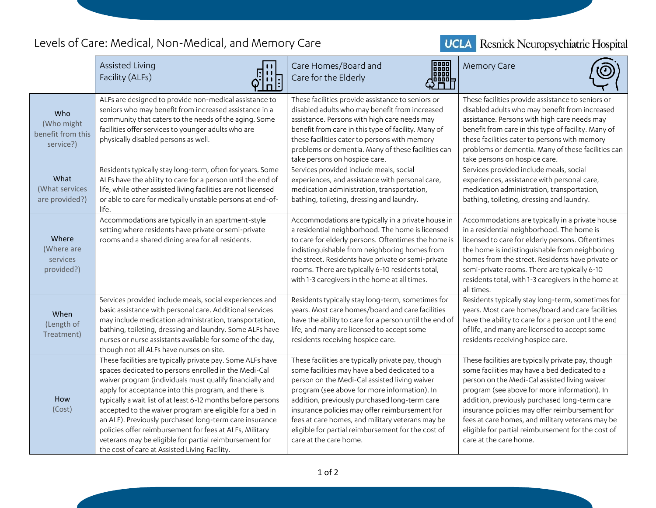## Levels of Care: Medical, Non-Medical, and Memory Care

| <b>JCLA</b> Resnick Neuropsychiatric Hospital |
|-----------------------------------------------|
|                                               |

|                                                     | Assisted Living<br>Facility (ALFs)                                                                                                                                                                                                                                                                                                                                                                                                                                                                                                                                                                 | Care Homes/Board and<br>Care for the Elderly                                                                                                                                                                                                                                                                                                                                                                                                | Memory Care                                                                                                                                                                                                                                                                                                                                                                                                                                 |
|-----------------------------------------------------|----------------------------------------------------------------------------------------------------------------------------------------------------------------------------------------------------------------------------------------------------------------------------------------------------------------------------------------------------------------------------------------------------------------------------------------------------------------------------------------------------------------------------------------------------------------------------------------------------|---------------------------------------------------------------------------------------------------------------------------------------------------------------------------------------------------------------------------------------------------------------------------------------------------------------------------------------------------------------------------------------------------------------------------------------------|---------------------------------------------------------------------------------------------------------------------------------------------------------------------------------------------------------------------------------------------------------------------------------------------------------------------------------------------------------------------------------------------------------------------------------------------|
| Who<br>(Who might<br>benefit from this<br>service?) | ALFs are designed to provide non-medical assistance to<br>seniors who may benefit from increased assistance in a<br>community that caters to the needs of the aging. Some<br>facilities offer services to younger adults who are<br>physically disabled persons as well.                                                                                                                                                                                                                                                                                                                           | These facilities provide assistance to seniors or<br>disabled adults who may benefit from increased<br>assistance. Persons with high care needs may<br>benefit from care in this type of facility. Many of<br>these facilities cater to persons with memory<br>problems or dementia. Many of these facilities can<br>take persons on hospice care.                                                                                          | These facilities provide assistance to seniors or<br>disabled adults who may benefit from increased<br>assistance. Persons with high care needs may<br>benefit from care in this type of facility. Many of<br>these facilities cater to persons with memory<br>problems or dementia. Many of these facilities can<br>take persons on hospice care.                                                                                          |
| What<br>(What services<br>are provided?)            | Residents typically stay long-term, often for years. Some<br>ALFs have the ability to care for a person until the end of<br>life, while other assisted living facilities are not licensed<br>or able to care for medically unstable persons at end-of-<br>life.                                                                                                                                                                                                                                                                                                                                    | Services provided include meals, social<br>experiences, and assistance with personal care,<br>medication administration, transportation,<br>bathing, toileting, dressing and laundry.                                                                                                                                                                                                                                                       | Services provided include meals, social<br>experiences, assistance with personal care,<br>medication administration, transportation,<br>bathing, toileting, dressing and laundry.                                                                                                                                                                                                                                                           |
| Where<br>(Where are<br>services<br>provided?)       | Accommodations are typically in an apartment-style<br>setting where residents have private or semi-private<br>rooms and a shared dining area for all residents.                                                                                                                                                                                                                                                                                                                                                                                                                                    | Accommodations are typically in a private house in<br>a residential neighborhood. The home is licensed<br>to care for elderly persons. Oftentimes the home is<br>indistinguishable from neighboring homes from<br>the street. Residents have private or semi-private<br>rooms. There are typically 6-10 residents total,<br>with 1-3 caregivers in the home at all times.                                                                   | Accommodations are typically in a private house<br>in a residential neighborhood. The home is<br>licensed to care for elderly persons. Oftentimes<br>the home is indistinguishable from neighboring<br>homes from the street. Residents have private or<br>semi-private rooms. There are typically 6-10<br>residents total, with 1-3 caregivers in the home at<br>all times.                                                                |
| When<br>(Length of<br>Treatment)                    | Services provided include meals, social experiences and<br>basic assistance with personal care. Additional services<br>may include medication administration, transportation,<br>bathing, toileting, dressing and laundry. Some ALFs have<br>nurses or nurse assistants available for some of the day,<br>though not all ALFs have nurses on site.                                                                                                                                                                                                                                                 | Residents typically stay long-term, sometimes for<br>years. Most care homes/board and care facilities<br>have the ability to care for a person until the end of<br>life, and many are licensed to accept some<br>residents receiving hospice care.                                                                                                                                                                                          | Residents typically stay long-term, sometimes for<br>years. Most care homes/board and care facilities<br>have the ability to care for a person until the end<br>of life, and many are licensed to accept some<br>residents receiving hospice care.                                                                                                                                                                                          |
| How<br>(Cost)                                       | These facilities are typically private pay. Some ALFs have<br>spaces dedicated to persons enrolled in the Medi-Cal<br>waiver program (individuals must qualify financially and<br>apply for acceptance into this program, and there is<br>typically a wait list of at least 6-12 months before persons<br>accepted to the waiver program are eligible for a bed in<br>an ALF). Previously purchased long-term care insurance<br>policies offer reimbursement for fees at ALFs, Military<br>veterans may be eligible for partial reimbursement for<br>the cost of care at Assisted Living Facility. | These facilities are typically private pay, though<br>some facilities may have a bed dedicated to a<br>person on the Medi-Cal assisted living waiver<br>program (see above for more information). In<br>addition, previously purchased long-term care<br>insurance policies may offer reimbursement for<br>fees at care homes, and military veterans may be<br>eligible for partial reimbursement for the cost of<br>care at the care home. | These facilities are typically private pay, though<br>some facilities may have a bed dedicated to a<br>person on the Medi-Cal assisted living waiver<br>program (see above for more information). In<br>addition, previously purchased long-term care<br>insurance policies may offer reimbursement for<br>fees at care homes, and military veterans may be<br>eligible for partial reimbursement for the cost of<br>care at the care home. |